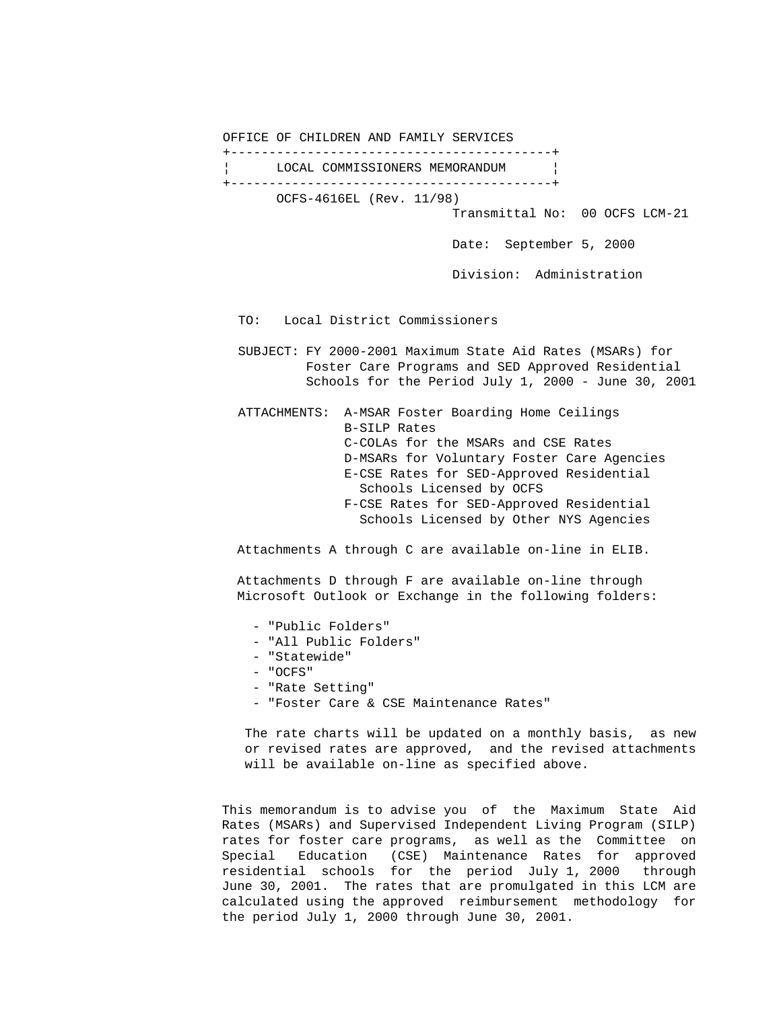OFFICE OF CHILDREN AND FAMILY SERVICES +------------------------------------------+ LOCAL COMMISSIONERS MEMORANDUM | +------------------------------------------+ OCFS-4616EL (Rev. 11/98) Transmittal No: 00 OCFS LCM-21 Date: September 5, 2000 Division: Administration TO: Local District Commissioners SUBJECT: FY 2000-2001 Maximum State Aid Rates (MSARs) for Foster Care Programs and SED Approved Residential Schools for the Period July 1, 2000 - June 30, 2001 ATTACHMENTS: A-MSAR Foster Boarding Home Ceilings B-SILP Rates C-COLAs for the MSARs and CSE Rates D-MSARs for Voluntary Foster Care Agencies E-CSE Rates for SED-Approved Residential

 Schools Licensed by OCFS F-CSE Rates for SED-Approved Residential Schools Licensed by Other NYS Agencies

Attachments A through C are available on-line in ELIB.

 Attachments D through F are available on-line through Microsoft Outlook or Exchange in the following folders:

- "Public Folders"
- "All Public Folders"
- "Statewide"
- "OCFS"
- "Rate Setting"
- "Foster Care & CSE Maintenance Rates"

 The rate charts will be updated on a monthly basis, as new or revised rates are approved, and the revised attachments will be available on-line as specified above.

 This memorandum is to advise you of the Maximum State Aid Rates (MSARs) and Supervised Independent Living Program (SILP) rates for foster care programs, as well as the Committee on Special Education (CSE) Maintenance Rates for approved residential schools for the period July 1, 2000 through June 30, 2001. The rates that are promulgated in this LCM are calculated using the approved reimbursement methodology for the period July 1, 2000 through June 30, 2001.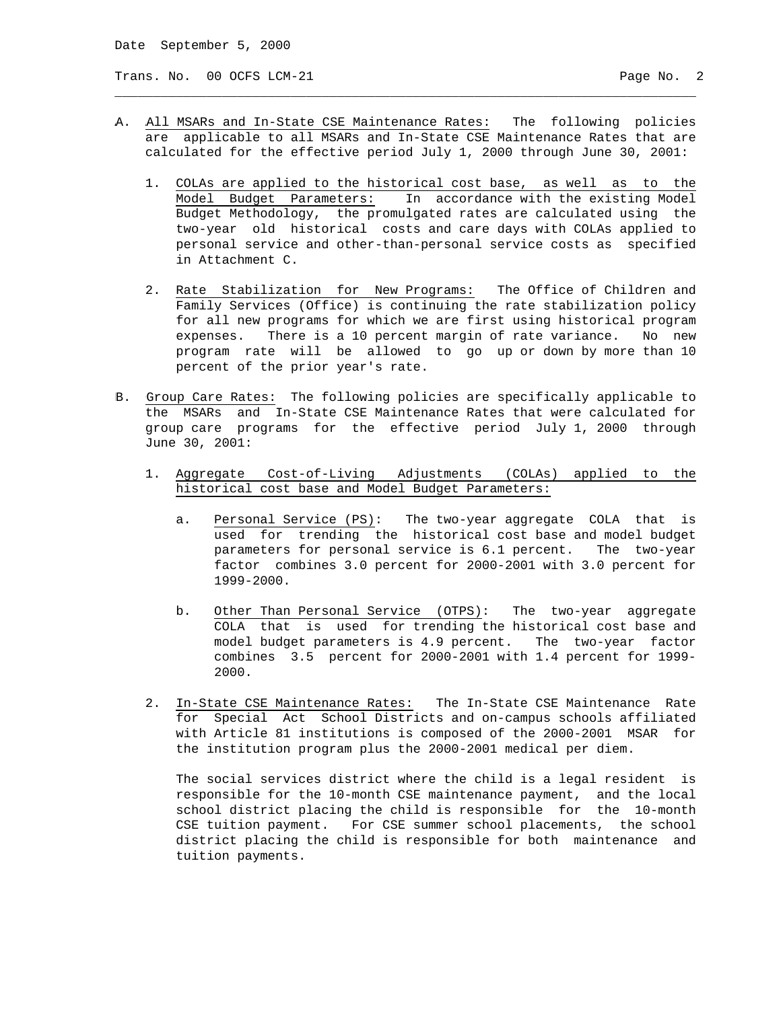Trans. No. 00 OCFS LCM-21 **Page No. 2** Page No. 2

A. All MSARs and In-State CSE Maintenance Rates: The following policies are applicable to all MSARs and In-State CSE Maintenance Rates that are calculated for the effective period July 1, 2000 through June 30, 2001:

\_\_\_\_\_\_\_\_\_\_\_\_\_\_\_\_\_\_\_\_\_\_\_\_\_\_\_\_\_\_\_\_\_\_\_\_\_\_\_\_\_\_\_\_\_\_\_\_\_\_\_\_\_\_\_\_\_\_\_\_\_\_\_\_\_\_\_\_\_\_\_\_\_\_\_\_

- 1. COLAs are applied to the historical cost base, as well as to the Model Budget Parameters: In accordance with the existing Model Budget Methodology, the promulgated rates are calculated using the two-year old historical costs and care days with COLAs applied to personal service and other-than-personal service costs as specified in Attachment C.
- 2. Rate Stabilization for New Programs: The Office of Children and Family Services (Office) is continuing the rate stabilization policy for all new programs for which we are first using historical program expenses. There is a 10 percent margin of rate variance. No new program rate will be allowed to go up or down by more than 10 percent of the prior year's rate.
- B. Group Care Rates: The following policies are specifically applicable to the MSARs and In-State CSE Maintenance Rates that were calculated for group care programs for the effective period July 1, 2000 through June 30, 2001:
	- 1. Aggregate Cost-of-Living Adjustments (COLAs) applied to the historical cost base and Model Budget Parameters:
		- a. Personal Service (PS): The two-year aggregate COLA that is used for trending the historical cost base and model budget parameters for personal service is 6.1 percent. The two-year factor combines 3.0 percent for 2000-2001 with 3.0 percent for 1999-2000.
		- b. Other Than Personal Service (OTPS): The two-year aggregate COLA that is used for trending the historical cost base and model budget parameters is 4.9 percent. The two-year factor combines 3.5 percent for 2000-2001 with 1.4 percent for 1999- 2000.
	- 2. In-State CSE Maintenance Rates: The In-State CSE Maintenance Rate for Special Act School Districts and on-campus schools affiliated with Article 81 institutions is composed of the 2000-2001 MSAR for the institution program plus the 2000-2001 medical per diem.

 The social services district where the child is a legal resident is responsible for the 10-month CSE maintenance payment, and the local school district placing the child is responsible for the 10-month CSE tuition payment. For CSE summer school placements, the school district placing the child is responsible for both maintenance and tuition payments.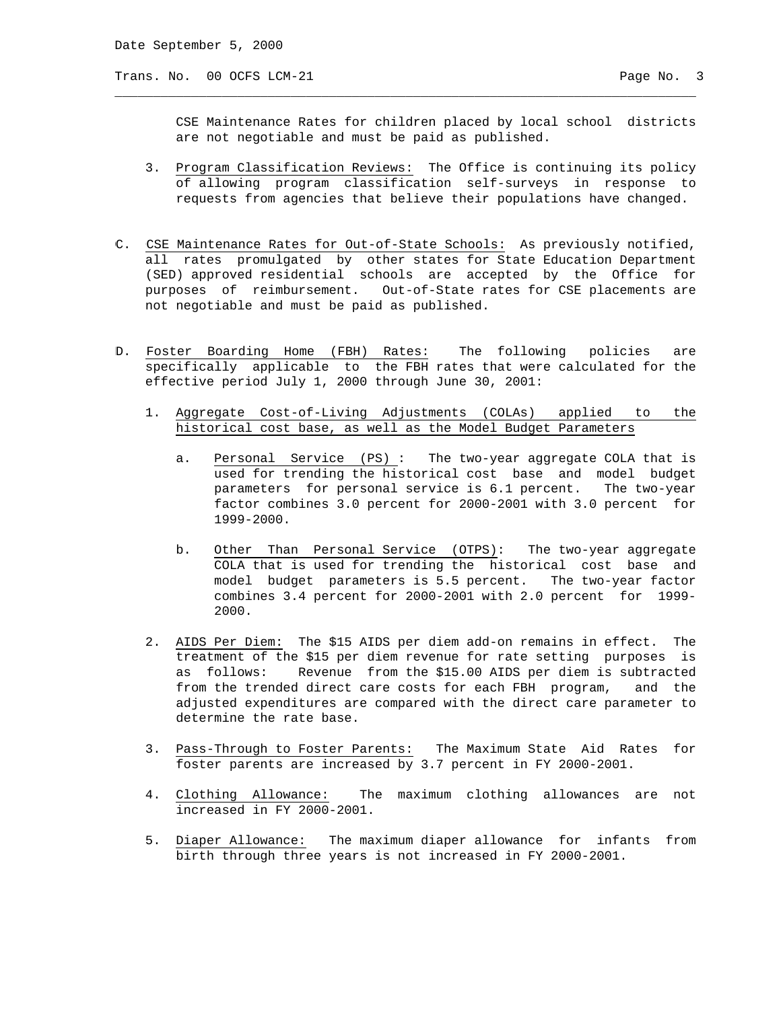Trans. No. 00 OCFS LCM-21 Page No. 3

 CSE Maintenance Rates for children placed by local school districts are not negotiable and must be paid as published.

 3. Program Classification Reviews: The Office is continuing its policy of allowing program classification self-surveys in response to requests from agencies that believe their populations have changed.

\_\_\_\_\_\_\_\_\_\_\_\_\_\_\_\_\_\_\_\_\_\_\_\_\_\_\_\_\_\_\_\_\_\_\_\_\_\_\_\_\_\_\_\_\_\_\_\_\_\_\_\_\_\_\_\_\_\_\_\_\_\_\_\_\_\_\_\_\_\_\_\_\_\_\_\_

- C. CSE Maintenance Rates for Out-of-State Schools: As previously notified, all rates promulgated by other states for State Education Department (SED) approved residential schools are accepted by the Office for purposes of reimbursement. Out-of-State rates for CSE placements are not negotiable and must be paid as published.
- D. Foster Boarding Home (FBH) Rates: The following policies are specifically applicable to the FBH rates that were calculated for the effective period July 1, 2000 through June 30, 2001:
	- 1. Aggregate Cost-of-Living Adjustments (COLAs) applied to the historical cost base, as well as the Model Budget Parameters
		- a. Personal Service (PS) : The two-year aggregate COLA that is used for trending the historical cost base and model budget parameters for personal service is 6.1 percent. The two-year factor combines 3.0 percent for 2000-2001 with 3.0 percent for 1999-2000.
		- b. Other Than Personal Service (OTPS): The two-year aggregate COLA that is used for trending the historical cost base and model budget parameters is 5.5 percent. The two-year factor combines 3.4 percent for 2000-2001 with 2.0 percent for 1999- 2000.
	- 2. AIDS Per Diem: The \$15 AIDS per diem add-on remains in effect. The treatment of the \$15 per diem revenue for rate setting purposes is as follows: Revenue from the \$15.00 AIDS per diem is subtracted from the trended direct care costs for each FBH program, and the adjusted expenditures are compared with the direct care parameter to determine the rate base.
	- 3. Pass-Through to Foster Parents: The Maximum State Aid Rates for foster parents are increased by 3.7 percent in FY 2000-2001.
	- 4. Clothing Allowance: The maximum clothing allowances are not increased in FY 2000-2001.
	- 5. Diaper Allowance: The maximum diaper allowance for infants from birth through three years is not increased in FY 2000-2001.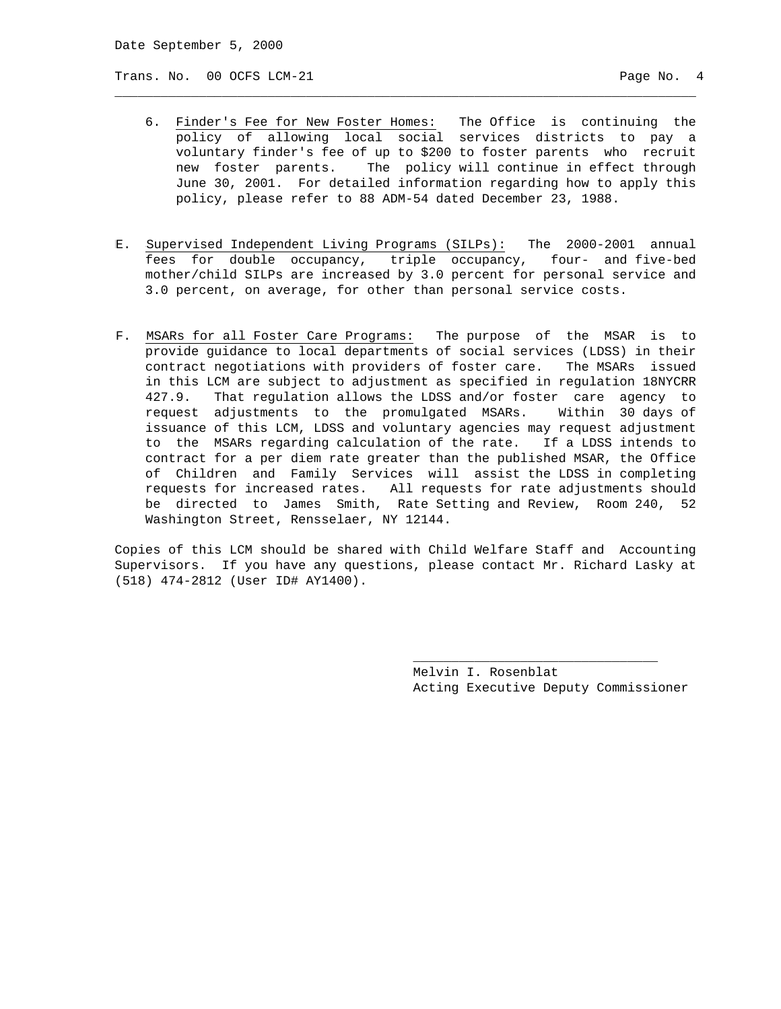Trans. No. 00 OCFS LCM-21 Page No. 4

 6. Finder's Fee for New Foster Homes: The Office is continuing the policy of allowing local social services districts to pay a voluntary finder's fee of up to \$200 to foster parents who recruit new foster parents. The policy will continue in effect through June 30, 2001. For detailed information regarding how to apply this policy, please refer to 88 ADM-54 dated December 23, 1988.

\_\_\_\_\_\_\_\_\_\_\_\_\_\_\_\_\_\_\_\_\_\_\_\_\_\_\_\_\_\_\_\_\_\_\_\_\_\_\_\_\_\_\_\_\_\_\_\_\_\_\_\_\_\_\_\_\_\_\_\_\_\_\_\_\_\_\_\_\_\_\_\_\_\_\_\_

- E. Supervised Independent Living Programs (SILPs): The 2000-2001 annual fees for double occupancy, triple occupancy, four- and five-bed mother/child SILPs are increased by 3.0 percent for personal service and 3.0 percent, on average, for other than personal service costs.
- F. MSARs for all Foster Care Programs: The purpose of the MSAR is to provide guidance to local departments of social services (LDSS) in their contract negotiations with providers of foster care. The MSARs issued in this LCM are subject to adjustment as specified in regulation 18NYCRR 427.9. That regulation allows the LDSS and/or foster care agency to request adjustments to the promulgated MSARs. Within 30 days of issuance of this LCM, LDSS and voluntary agencies may request adjustment to the MSARs regarding calculation of the rate. If a LDSS intends to contract for a per diem rate greater than the published MSAR, the Office of Children and Family Services will assist the LDSS in completing requests for increased rates. All requests for rate adjustments should be directed to James Smith, Rate Setting and Review, Room 240, 52 Washington Street, Rensselaer, NY 12144.

Copies of this LCM should be shared with Child Welfare Staff and Accounting Supervisors. If you have any questions, please contact Mr. Richard Lasky at (518) 474-2812 (User ID# AY1400).

 $\_$ 

 Melvin I. Rosenblat Acting Executive Deputy Commissioner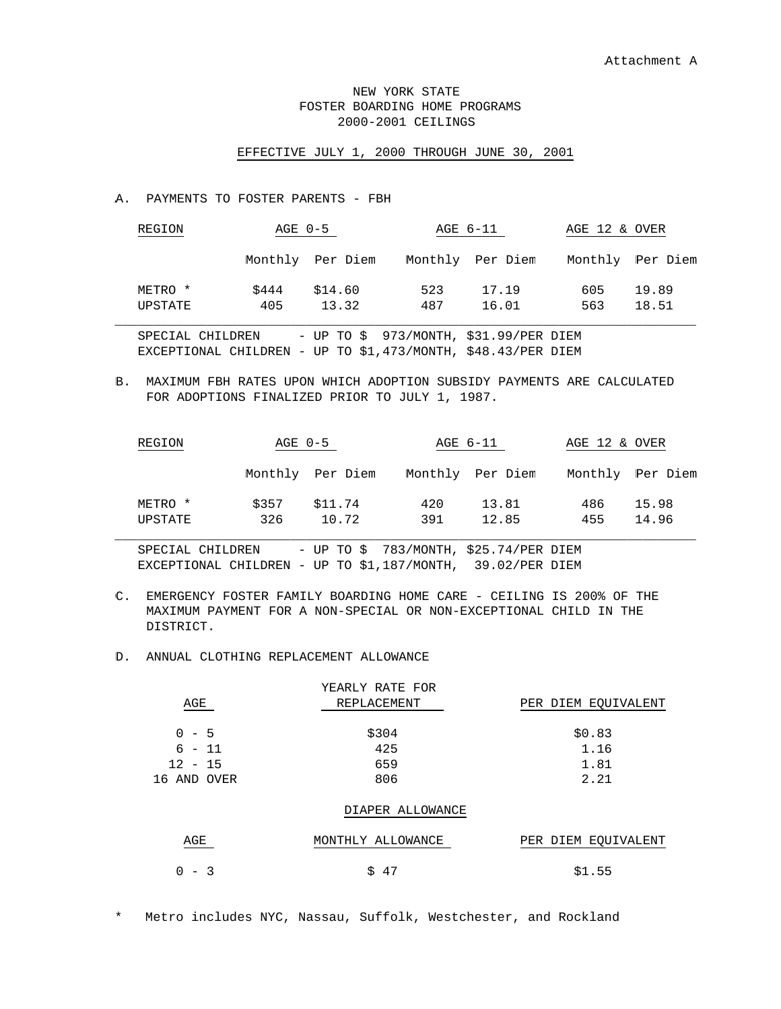# NEW YORK STATE FOSTER BOARDING HOME PROGRAMS 2000-2001 CEILINGS

### EFFECTIVE JULY 1, 2000 THROUGH JUNE 30, 2001

#### A. PAYMENTS TO FOSTER PARENTS - FBH

| REGION             | AGE 0-5      |                  |            | AGE 6-11         | AGE 12 & OVER |                  |
|--------------------|--------------|------------------|------------|------------------|---------------|------------------|
|                    |              | Monthly Per Diem |            | Monthly Per Diem |               | Monthly Per Diem |
| METRO *<br>UPSTATE | \$444<br>405 | \$14.60<br>13.32 | 523<br>487 | 17.19<br>16.01   | 605<br>563    | 19.89<br>18.51   |

SPECIAL CHILDREN - UP TO \$ 973/MONTH, \$31.99/PER DIEM EXCEPTIONAL CHILDREN - UP TO \$1,473/MONTH, \$48.43/PER DIEM

B. MAXIMUM FBH RATES UPON WHICH ADOPTION SUBSIDY PAYMENTS ARE CALCULATED FOR ADOPTIONS FINALIZED PRIOR TO JULY 1, 1987.

| REGION             | AGE 0-5      |                  |            | AGE 6-11         | AGE 12 & OVER |                  |
|--------------------|--------------|------------------|------------|------------------|---------------|------------------|
|                    |              | Monthly Per Diem |            | Monthly Per Diem |               | Monthly Per Diem |
| METRO *<br>UPSTATE | \$357<br>326 | \$11.74<br>10.72 | 420<br>391 | 13.81<br>12.85   | 486<br>455    | 15.98<br>14.96   |

SPECIAL CHILDREN - UP TO \$ 783/MONTH, \$25.74/PER DIEM EXCEPTIONAL CHILDREN - UP TO \$1,187/MONTH, 39.02/PER DIEM

C. EMERGENCY FOSTER FAMILY BOARDING HOME CARE - CEILING IS 200% OF THE MAXIMUM PAYMENT FOR A NON-SPECIAL OR NON-EXCEPTIONAL CHILD IN THE DISTRICT.

# D. ANNUAL CLOTHING REPLACEMENT ALLOWANCE

|             | YEARLY RATE FOR   |                     |
|-------------|-------------------|---------------------|
| AGE         | REPLACEMENT       | PER DIEM EQUIVALENT |
|             |                   |                     |
| $0 - 5$     | \$304             | \$0.83              |
| $6 - 11$    | 425               | 1.16                |
| $12 - 15$   | 659               | 1.81                |
| 16 AND OVER | 806               | 2.21                |
|             |                   |                     |
|             | DIAPER ALLOWANCE  |                     |
|             |                   |                     |
| AGE         | MONTHLY ALLOWANCE | PER DIEM EQUIVALENT |
|             |                   |                     |

\* Metro includes NYC, Nassau, Suffolk, Westchester, and Rockland

 $0 - 3$  \$ 47 \$1.55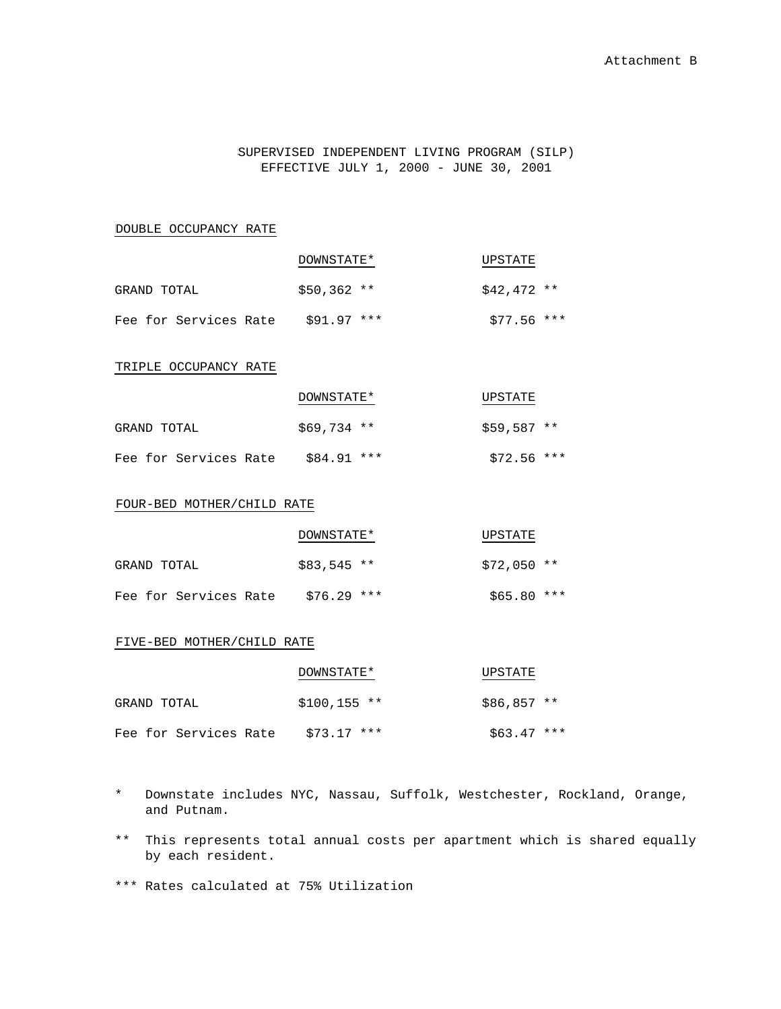SUPERVISED INDEPENDENT LIVING PROGRAM (SILP) EFFECTIVE JULY 1, 2000 - JUNE 30, 2001

DOUBLE OCCUPANCY RATE

|                       | DOWNSTATE*   | UPSTATE      |
|-----------------------|--------------|--------------|
| GRAND TOTAL           | $$50.362$ ** | $$42.472$ ** |
| Fee for Services Rate | $$91.97$ *** | $$77.56$ *** |

TRIPLE OCCUPANCY RATE

|                       | DOWNSTATE*   | UPSTATE      |
|-----------------------|--------------|--------------|
| GRAND TOTAL           | $$69.734$ ** | $$59.587$ ** |
| Fee for Services Rate | $$84.91$ *** | $$72.56$ *** |

### FOUR-BED MOTHER/CHILD RATE

|                       | DOWNSTATE*   | UPSTATE      |
|-----------------------|--------------|--------------|
| GRAND TOTAL           | $$83.545$ ** | $$72.050$ ** |
| Fee for Services Rate | \$76.29 ***  | \$65.80 ***  |

#### FIVE-BED MOTHER/CHILD RATE

|                       | DOWNSTATE*    | UPSTATE      |
|-----------------------|---------------|--------------|
| GRAND TOTAL           | $$100.155$ ** | $$86.857$ ** |
| Fee for Services Rate | $$73.17$ ***  | $$63.47$ *** |

- \* Downstate includes NYC, Nassau, Suffolk, Westchester, Rockland, Orange, and Putnam.
- \*\* This represents total annual costs per apartment which is shared equally by each resident.

\*\*\* Rates calculated at 75% Utilization